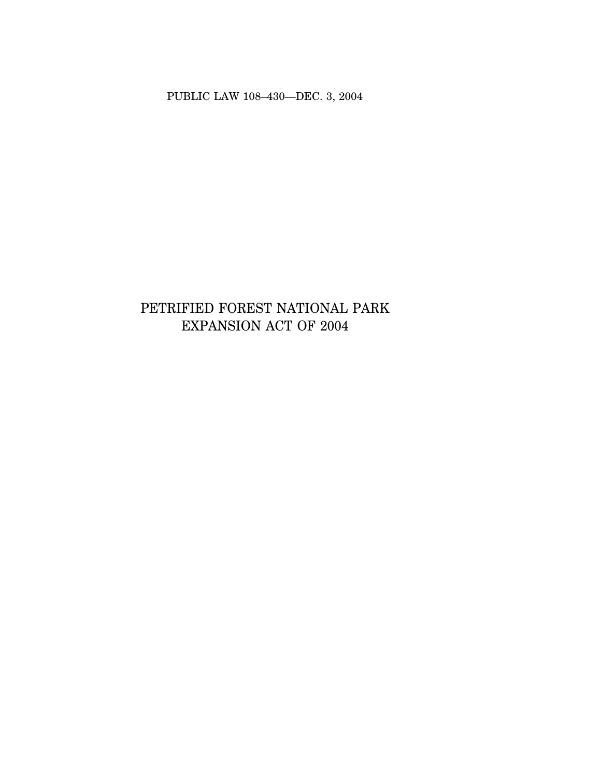PUBLIC LAW 108–430—DEC. 3, 2004

# PETRIFIED FOREST NATIONAL PARK EXPANSION ACT OF 2004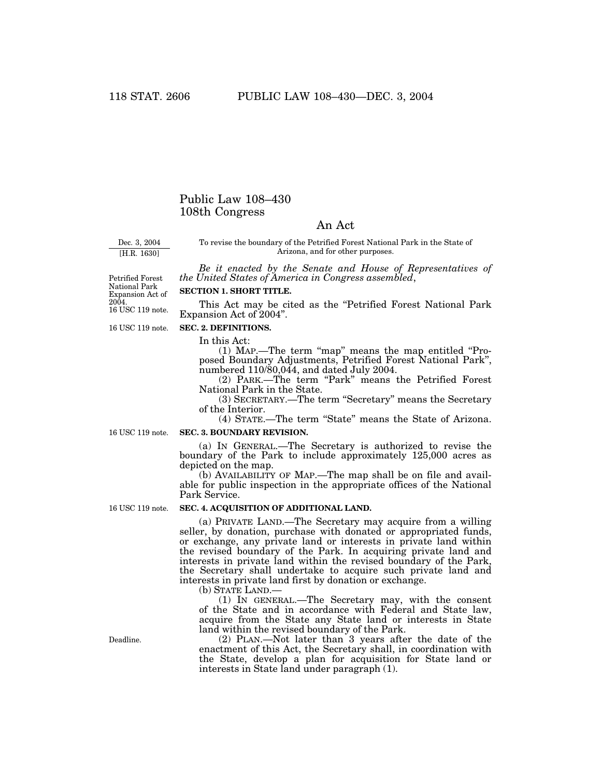# Public Law 108–430 108th Congress

# An Act

Dec. 3, 2004

[H.R. 1630]

To revise the boundary of the Petrified Forest National Park in the State of Arizona, and for other purposes.

*Be it enacted by the Senate and House of Representatives of the United States of America in Congress assembled*,

16 USC 119 note. Petrified Forest National Park Expansion Act of 2004.

## **SECTION 1. SHORT TITLE.**

This Act may be cited as the "Petrified Forest National Park Expansion Act of 2004''.

16 USC 119 note.

## **SEC. 2. DEFINITIONS.**

In this Act:

(1) MAP.—The term ''map'' means the map entitled ''Proposed Boundary Adjustments, Petrified Forest National Park'', numbered 110/80,044, and dated July 2004.

(2) PARK.—The term "Park" means the Petrified Forest National Park in the State.

(3) SECRETARY.—The term ''Secretary'' means the Secretary of the Interior.

(4) STATE.—The term ''State'' means the State of Arizona.

16 USC 119 note.

### **SEC. 3. BOUNDARY REVISION.**

(a) IN GENERAL.—The Secretary is authorized to revise the boundary of the Park to include approximately 125,000 acres as depicted on the map.

(b) AVAILABILITY OF MAP.—The map shall be on file and available for public inspection in the appropriate offices of the National Park Service.

16 USC 119 note.

# **SEC. 4. ACQUISITION OF ADDITIONAL LAND.**

(a) PRIVATE LAND.—The Secretary may acquire from a willing seller, by donation, purchase with donated or appropriated funds, or exchange, any private land or interests in private land within the revised boundary of the Park. In acquiring private land and interests in private land within the revised boundary of the Park, the Secretary shall undertake to acquire such private land and interests in private land first by donation or exchange.

(b) STATE LAND.—

(1) IN GENERAL.—The Secretary may, with the consent of the State and in accordance with Federal and State law, acquire from the State any State land or interests in State land within the revised boundary of the Park.

(2) PLAN.—Not later than 3 years after the date of the enactment of this Act, the Secretary shall, in coordination with the State, develop a plan for acquisition for State land or interests in State land under paragraph (1).

Deadline.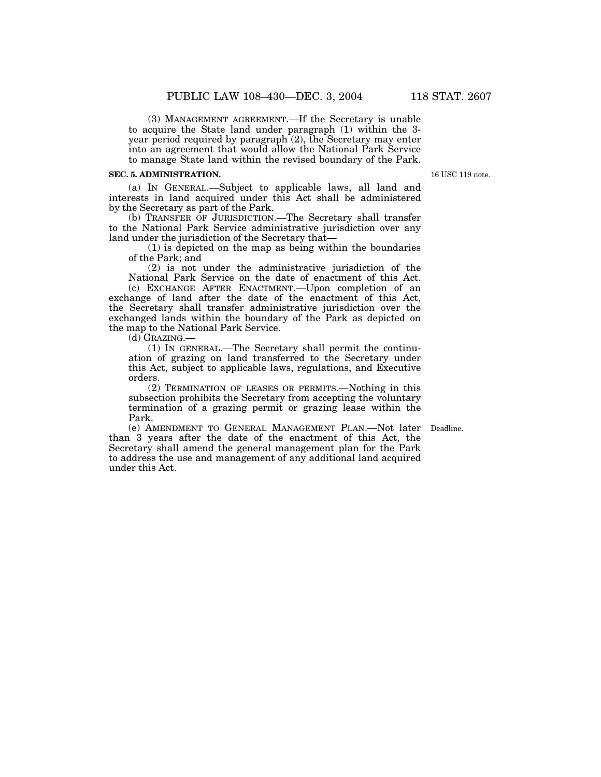(3) MANAGEMENT AGREEMENT.—If the Secretary is unable to acquire the State land under paragraph (1) within the 3 year period required by paragraph (2), the Secretary may enter into an agreement that would allow the National Park Service to manage State land within the revised boundary of the Park.

### **SEC. 5. ADMINISTRATION.**

(a) IN GENERAL.—Subject to applicable laws, all land and interests in land acquired under this Act shall be administered by the Secretary as part of the Park.

(b) TRANSFER OF JURISDICTION.—The Secretary shall transfer to the National Park Service administrative jurisdiction over any land under the jurisdiction of the Secretary that—

(1) is depicted on the map as being within the boundaries of the Park; and

(2) is not under the administrative jurisdiction of the National Park Service on the date of enactment of this Act.

(c) EXCHANGE AFTER ENACTMENT.—Upon completion of an exchange of land after the date of the enactment of this Act, the Secretary shall transfer administrative jurisdiction over the exchanged lands within the boundary of the Park as depicted on the map to the National Park Service.

(d) GRAZING.—

(1) IN GENERAL.—The Secretary shall permit the continuation of grazing on land transferred to the Secretary under this Act, subject to applicable laws, regulations, and Executive orders.

(2) TERMINATION OF LEASES OR PERMITS.—Nothing in this subsection prohibits the Secretary from accepting the voluntary termination of a grazing permit or grazing lease within the Park.

(e) AMENDMENT TO GENERAL MANAGEMENT PLAN.—Not later Deadline. than 3 years after the date of the enactment of this Act, the Secretary shall amend the general management plan for the Park to address the use and management of any additional land acquired under this Act.

16 USC 119 note.